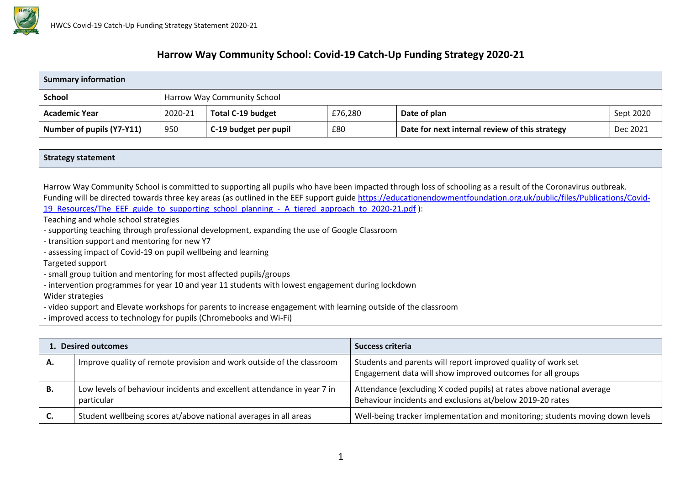

## **Harrow Way Community School: Covid-19 Catch-Up Funding Strategy 2020-21**

| <b>Summary information</b> |         |                             |         |                                                |           |  |  |  |
|----------------------------|---------|-----------------------------|---------|------------------------------------------------|-----------|--|--|--|
| <b>School</b>              |         | Harrow Way Community School |         |                                                |           |  |  |  |
| <b>Academic Year</b>       | 2020-21 | <b>Total C-19 budget</b>    | £76,280 | Date of plan                                   | Sept 2020 |  |  |  |
| Number of pupils (Y7-Y11)  | 950     | C-19 budget per pupil       | £80     | Date for next internal review of this strategy | Dec 2021  |  |  |  |

| <b>Strategy statement</b>                                                                                                                                           |
|---------------------------------------------------------------------------------------------------------------------------------------------------------------------|
|                                                                                                                                                                     |
| Harrow Way Community School is committed to supporting all pupils who have been impacted through loss of schooling as a result of the Coronavirus outbreak.         |
| Funding will be directed towards three key areas (as outlined in the EEF support guide https://educationendowmentfoundation.org.uk/public/files/Publications/Covid- |
| 19 Resources/The EEF guide to supporting school planning - A tiered approach to 2020-21.pdf):                                                                       |
| Teaching and whole school strategies                                                                                                                                |
| - supporting teaching through professional development, expanding the use of Google Classroom                                                                       |
| - transition support and mentoring for new Y7                                                                                                                       |
| - assessing impact of Covid-19 on pupil wellbeing and learning                                                                                                      |
| Targeted support                                                                                                                                                    |
| - small group tuition and mentoring for most affected pupils/groups                                                                                                 |
| - intervention programmes for year 10 and year 11 students with lowest engagement during lockdown                                                                   |
| Wider strategies                                                                                                                                                    |
| - video support and Elevate workshops for parents to increase engagement with learning outside of the classroom                                                     |
| - improved access to technology for pupils (Chromebooks and Wi-Fi)                                                                                                  |

|    | <b>L.</b> Desired outcomes                                                            | Success criteria                                                                                                                   |
|----|---------------------------------------------------------------------------------------|------------------------------------------------------------------------------------------------------------------------------------|
| А. | Improve quality of remote provision and work outside of the classroom                 | Students and parents will report improved quality of work set<br>Engagement data will show improved outcomes for all groups        |
| В. | Low levels of behaviour incidents and excellent attendance in year 7 in<br>particular | Attendance (excluding X coded pupils) at rates above national average<br>Behaviour incidents and exclusions at/below 2019-20 rates |
| C. | Student wellbeing scores at/above national averages in all areas                      | Well-being tracker implementation and monitoring; students moving down levels                                                      |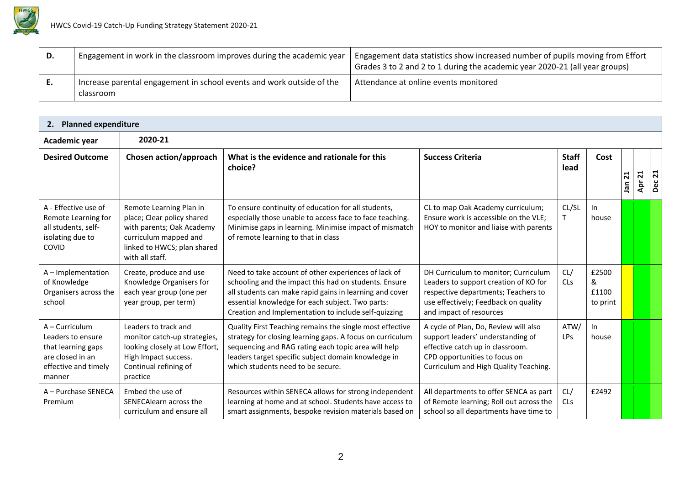

| D.  | Engagement in work in the classroom improves during the academic year              | Engagement data statistics show increased number of pupils moving from Effort<br>Grades 3 to 2 and 2 to 1 during the academic year 2020-21 (all year groups) |
|-----|------------------------------------------------------------------------------------|--------------------------------------------------------------------------------------------------------------------------------------------------------------|
| . . | Increase parental engagement in school events and work outside of the<br>classroom | Attendance at online events monitored                                                                                                                        |

| <b>Planned expenditure</b><br>2.                                                                                |                                                                                                                                                               |                                                                                                                                                                                                                                                                                      |                                                                                                                                                                                          |                       |                                 |                       |        |           |
|-----------------------------------------------------------------------------------------------------------------|---------------------------------------------------------------------------------------------------------------------------------------------------------------|--------------------------------------------------------------------------------------------------------------------------------------------------------------------------------------------------------------------------------------------------------------------------------------|------------------------------------------------------------------------------------------------------------------------------------------------------------------------------------------|-----------------------|---------------------------------|-----------------------|--------|-----------|
| Academic year                                                                                                   | 2020-21                                                                                                                                                       |                                                                                                                                                                                                                                                                                      |                                                                                                                                                                                          |                       |                                 |                       |        |           |
| <b>Desired Outcome</b>                                                                                          | Chosen action/approach                                                                                                                                        | What is the evidence and rationale for this<br>choice?                                                                                                                                                                                                                               | <b>Success Criteria</b>                                                                                                                                                                  | <b>Staff</b><br>lead  | Cost                            | $\mathbf{z}_1$<br>Jan | Apr 21 | 21<br>Dec |
| A - Effective use of<br>Remote Learning for<br>all students, self-<br>isolating due to<br>COVID                 | Remote Learning Plan in<br>place; Clear policy shared<br>with parents; Oak Academy<br>curriculum mapped and<br>linked to HWCS; plan shared<br>with all staff. | To ensure continuity of education for all students,<br>especially those unable to access face to face teaching.<br>Minimise gaps in learning. Minimise impact of mismatch<br>of remote learning to that in class                                                                     | CL to map Oak Academy curriculum;<br>Ensure work is accessible on the VLE;<br>HOY to monitor and liaise with parents                                                                     | CL/SL<br>$\mathsf{T}$ | In<br>house                     |                       |        |           |
| A - Implementation<br>of Knowledge<br>Organisers across the<br>school                                           | Create, produce and use<br>Knowledge Organisers for<br>each year group (one per<br>year group, per term)                                                      | Need to take account of other experiences of lack of<br>schooling and the impact this had on students. Ensure<br>all students can make rapid gains in learning and cover<br>essential knowledge for each subject. Two parts:<br>Creation and Implementation to include self-quizzing | DH Curriculum to monitor; Curriculum<br>Leaders to support creation of KO for<br>respective departments; Teachers to<br>use effectively; Feedback on quality<br>and impact of resources  | CL/<br>CLs            | £2500<br>&<br>£1100<br>to print |                       |        |           |
| A – Curriculum<br>Leaders to ensure<br>that learning gaps<br>are closed in an<br>effective and timely<br>manner | Leaders to track and<br>monitor catch-up strategies,<br>looking closely at Low Effort,<br>High Impact success.<br>Continual refining of<br>practice           | Quality First Teaching remains the single most effective<br>strategy for closing learning gaps. A focus on curriculum<br>sequencing and RAG rating each topic area will help<br>leaders target specific subject domain knowledge in<br>which students need to be secure.             | A cycle of Plan, Do, Review will also<br>support leaders' understanding of<br>effective catch up in classroom.<br>CPD opportunities to focus on<br>Curriculum and High Quality Teaching. | ATW/<br><b>LPs</b>    | In<br>house                     |                       |        |           |
| A - Purchase SENECA<br>Premium                                                                                  | Embed the use of<br>SENECAlearn across the<br>curriculum and ensure all                                                                                       | Resources within SENECA allows for strong independent<br>learning at home and at school. Students have access to<br>smart assignments, bespoke revision materials based on                                                                                                           | All departments to offer SENCA as part<br>of Remote learning; Roll out across the<br>school so all departments have time to                                                              | CL/<br>CLs            | £2492                           |                       |        |           |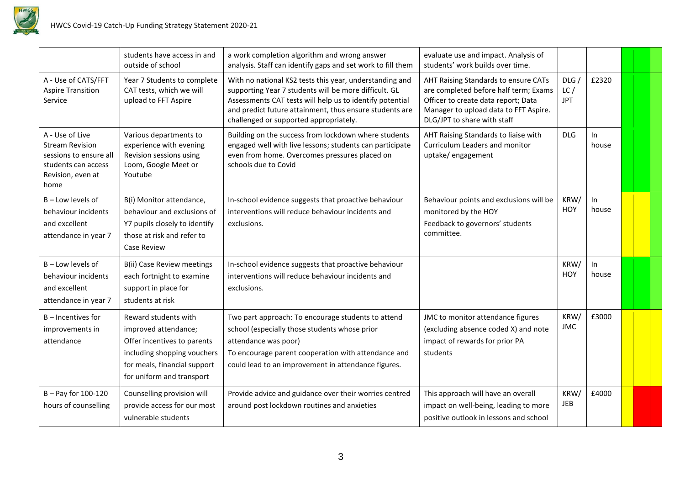

|                                                                                                                         | students have access in and<br>outside of school                                                                                                                        | a work completion algorithm and wrong answer<br>analysis. Staff can identify gaps and set work to fill them                                                                                                                                                                       | evaluate use and impact. Analysis of<br>students' work builds over time.                                                                                                                     |                           |              |  |
|-------------------------------------------------------------------------------------------------------------------------|-------------------------------------------------------------------------------------------------------------------------------------------------------------------------|-----------------------------------------------------------------------------------------------------------------------------------------------------------------------------------------------------------------------------------------------------------------------------------|----------------------------------------------------------------------------------------------------------------------------------------------------------------------------------------------|---------------------------|--------------|--|
| A - Use of CATS/FFT<br><b>Aspire Transition</b><br>Service                                                              | Year 7 Students to complete<br>CAT tests, which we will<br>upload to FFT Aspire                                                                                         | With no national KS2 tests this year, understanding and<br>supporting Year 7 students will be more difficult. GL<br>Assessments CAT tests will help us to identify potential<br>and predict future attainment, thus ensure students are<br>challenged or supported appropriately. | AHT Raising Standards to ensure CATs<br>are completed before half term; Exams<br>Officer to create data report; Data<br>Manager to upload data to FFT Aspire.<br>DLG/JPT to share with staff | DLG/<br>LC/<br><b>JPT</b> | £2320        |  |
| A - Use of Live<br><b>Stream Revision</b><br>sessions to ensure all<br>students can access<br>Revision, even at<br>home | Various departments to<br>experience with evening<br>Revision sessions using<br>Loom, Google Meet or<br>Youtube                                                         | Building on the success from lockdown where students<br>engaged well with live lessons; students can participate<br>even from home. Overcomes pressures placed on<br>schools due to Covid                                                                                         | AHT Raising Standards to liaise with<br>Curriculum Leaders and monitor<br>uptake/engagement                                                                                                  | <b>DLG</b>                | In.<br>house |  |
| B - Low levels of<br>behaviour incidents<br>and excellent<br>attendance in year 7                                       | B(i) Monitor attendance,<br>behaviour and exclusions of<br>Y7 pupils closely to identify<br>those at risk and refer to<br>Case Review                                   | In-school evidence suggests that proactive behaviour<br>interventions will reduce behaviour incidents and<br>exclusions.                                                                                                                                                          | Behaviour points and exclusions will be<br>monitored by the HOY<br>Feedback to governors' students<br>committee.                                                                             | KRW/<br>HOY               | In<br>house  |  |
| B-Low levels of<br>behaviour incidents<br>and excellent<br>attendance in year 7                                         | B(ii) Case Review meetings<br>each fortnight to examine<br>support in place for<br>students at risk                                                                     | In-school evidence suggests that proactive behaviour<br>interventions will reduce behaviour incidents and<br>exclusions.                                                                                                                                                          |                                                                                                                                                                                              | KRW/<br>HOY               | In<br>house  |  |
| $B$ – Incentives for<br>improvements in<br>attendance                                                                   | Reward students with<br>improved attendance;<br>Offer incentives to parents<br>including shopping vouchers<br>for meals, financial support<br>for uniform and transport | Two part approach: To encourage students to attend<br>school (especially those students whose prior<br>attendance was poor)<br>To encourage parent cooperation with attendance and<br>could lead to an improvement in attendance figures.                                         | JMC to monitor attendance figures<br>(excluding absence coded X) and note<br>impact of rewards for prior PA<br>students                                                                      | KRW/<br><b>JMC</b>        | £3000        |  |
| B-Pay for 100-120<br>hours of counselling                                                                               | Counselling provision will<br>provide access for our most<br>vulnerable students                                                                                        | Provide advice and guidance over their worries centred<br>around post lockdown routines and anxieties                                                                                                                                                                             | This approach will have an overall<br>impact on well-being, leading to more<br>positive outlook in lessons and school                                                                        | KRW/<br><b>JEB</b>        | £4000        |  |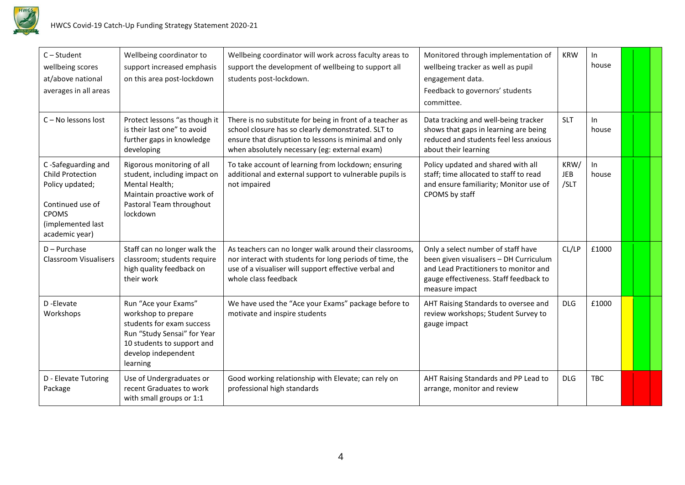

| $C - Student$<br>wellbeing scores<br>at/above national<br>averages in all areas                                                             | Wellbeing coordinator to<br>support increased emphasis<br>on this area post-lockdown                                                                                     | Wellbeing coordinator will work across faculty areas to<br>support the development of wellbeing to support all<br>students post-lockdown.                                                                                 | Monitored through implementation of<br>wellbeing tracker as well as pupil<br>engagement data.<br>Feedback to governors' students<br>committee.                                    | <b>KRW</b>                 | In<br>house  |  |  |
|---------------------------------------------------------------------------------------------------------------------------------------------|--------------------------------------------------------------------------------------------------------------------------------------------------------------------------|---------------------------------------------------------------------------------------------------------------------------------------------------------------------------------------------------------------------------|-----------------------------------------------------------------------------------------------------------------------------------------------------------------------------------|----------------------------|--------------|--|--|
| C - No lessons lost                                                                                                                         | Protect lessons "as though it<br>is their last one" to avoid<br>further gaps in knowledge<br>developing                                                                  | There is no substitute for being in front of a teacher as<br>school closure has so clearly demonstrated. SLT to<br>ensure that disruption to lessons is minimal and only<br>when absolutely necessary (eg: external exam) | Data tracking and well-being tracker<br>shows that gaps in learning are being<br>reduced and students feel less anxious<br>about their learning                                   | <b>SLT</b>                 | In.<br>house |  |  |
| C-Safeguarding and<br><b>Child Protection</b><br>Policy updated;<br>Continued use of<br><b>CPOMS</b><br>(implemented last<br>academic year) | Rigorous monitoring of all<br>student, including impact on<br>Mental Health;<br>Maintain proactive work of<br>Pastoral Team throughout<br>lockdown                       | To take account of learning from lockdown; ensuring<br>additional and external support to vulnerable pupils is<br>not impaired                                                                                            | Policy updated and shared with all<br>staff; time allocated to staff to read<br>and ensure familiarity; Monitor use of<br>CPOMS by staff                                          | KRW/<br><b>JEB</b><br>/SLT | In<br>house  |  |  |
| $D -$ Purchase<br>Classroom Visualisers                                                                                                     | Staff can no longer walk the<br>classroom; students require<br>high quality feedback on<br>their work                                                                    | As teachers can no longer walk around their classrooms,<br>nor interact with students for long periods of time, the<br>use of a visualiser will support effective verbal and<br>whole class feedback                      | Only a select number of staff have<br>been given visualisers - DH Curriculum<br>and Lead Practitioners to monitor and<br>gauge effectiveness. Staff feedback to<br>measure impact | CL/LP                      | £1000        |  |  |
| D-Elevate<br>Workshops                                                                                                                      | Run "Ace your Exams"<br>workshop to prepare<br>students for exam success<br>Run "Study Sensai" for Year<br>10 students to support and<br>develop independent<br>learning | We have used the "Ace your Exams" package before to<br>motivate and inspire students                                                                                                                                      | AHT Raising Standards to oversee and<br>review workshops; Student Survey to<br>gauge impact                                                                                       | <b>DLG</b>                 | £1000        |  |  |
| D - Elevate Tutoring<br>Package                                                                                                             | Use of Undergraduates or<br>recent Graduates to work<br>with small groups or 1:1                                                                                         | Good working relationship with Elevate; can rely on<br>professional high standards                                                                                                                                        | AHT Raising Standards and PP Lead to<br>arrange, monitor and review                                                                                                               | <b>DLG</b>                 | <b>TBC</b>   |  |  |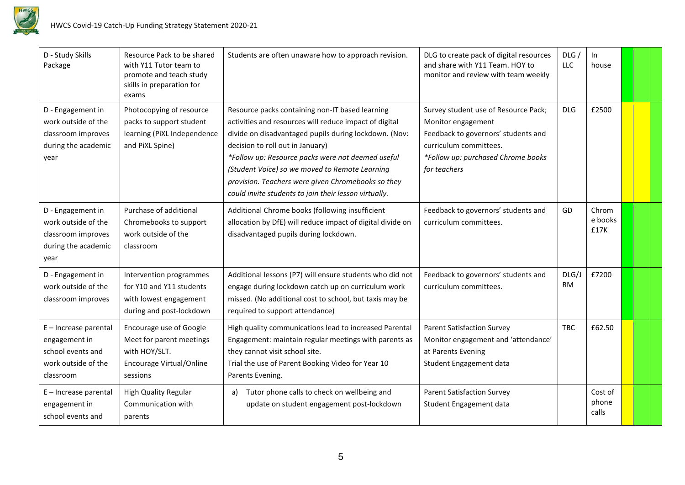

| D - Study Skills<br>Package                                                                     | Resource Pack to be shared<br>with Y11 Tutor team to<br>promote and teach study<br>skills in preparation for<br>exams | Students are often unaware how to approach revision.                                                                                                                                                                                                                                                                                                                                                                         | DLG to create pack of digital resources<br>and share with Y11 Team. HOY to<br>monitor and review with team weekly                                                                 | DLG/<br>LLC        | In.<br>house              |  |  |
|-------------------------------------------------------------------------------------------------|-----------------------------------------------------------------------------------------------------------------------|------------------------------------------------------------------------------------------------------------------------------------------------------------------------------------------------------------------------------------------------------------------------------------------------------------------------------------------------------------------------------------------------------------------------------|-----------------------------------------------------------------------------------------------------------------------------------------------------------------------------------|--------------------|---------------------------|--|--|
| D - Engagement in<br>work outside of the<br>classroom improves<br>during the academic<br>year   | Photocopying of resource<br>packs to support student<br>learning (PiXL Independence<br>and PiXL Spine)                | Resource packs containing non-IT based learning<br>activities and resources will reduce impact of digital<br>divide on disadvantaged pupils during lockdown. (Nov:<br>decision to roll out in January)<br>*Follow up: Resource packs were not deemed useful<br>(Student Voice) so we moved to Remote Learning<br>provision. Teachers were given Chromebooks so they<br>could invite students to join their lesson virtually. | Survey student use of Resource Pack;<br>Monitor engagement<br>Feedback to governors' students and<br>curriculum committees.<br>*Follow up: purchased Chrome books<br>for teachers | <b>DLG</b>         | £2500                     |  |  |
| D - Engagement in<br>work outside of the<br>classroom improves<br>during the academic<br>year   | Purchase of additional<br>Chromebooks to support<br>work outside of the<br>classroom                                  | Additional Chrome books (following insufficient<br>allocation by DfE) will reduce impact of digital divide on<br>disadvantaged pupils during lockdown.                                                                                                                                                                                                                                                                       | Feedback to governors' students and<br>curriculum committees.                                                                                                                     | GD                 | Chrom<br>e books<br>£17K  |  |  |
| D - Engagement in<br>work outside of the<br>classroom improves                                  | Intervention programmes<br>for Y10 and Y11 students<br>with lowest engagement<br>during and post-lockdown             | Additional lessons (P7) will ensure students who did not<br>engage during lockdown catch up on curriculum work<br>missed. (No additional cost to school, but taxis may be<br>required to support attendance)                                                                                                                                                                                                                 | Feedback to governors' students and<br>curriculum committees.                                                                                                                     | DLG/J<br><b>RM</b> | £7200                     |  |  |
| E - Increase parental<br>engagement in<br>school events and<br>work outside of the<br>classroom | Encourage use of Google<br>Meet for parent meetings<br>with HOY/SLT.<br>Encourage Virtual/Online<br>sessions          | High quality communications lead to increased Parental<br>Engagement: maintain regular meetings with parents as<br>they cannot visit school site.<br>Trial the use of Parent Booking Video for Year 10<br>Parents Evening.                                                                                                                                                                                                   | <b>Parent Satisfaction Survey</b><br>Monitor engagement and 'attendance'<br>at Parents Evening<br>Student Engagement data                                                         | <b>TBC</b>         | £62.50                    |  |  |
| $E$ – Increase parental<br>engagement in<br>school events and                                   | <b>High Quality Regular</b><br>Communication with<br>parents                                                          | Tutor phone calls to check on wellbeing and<br>a)<br>update on student engagement post-lockdown                                                                                                                                                                                                                                                                                                                              | <b>Parent Satisfaction Survey</b><br>Student Engagement data                                                                                                                      |                    | Cost of<br>phone<br>calls |  |  |